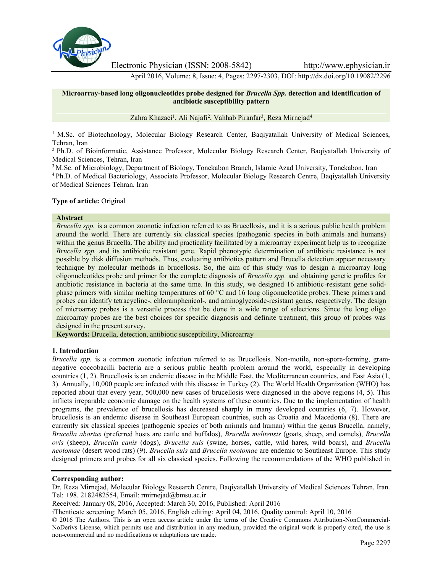

Electronic Physician (ISSN: 2008-5842) http://www.ephysician.ir

April 2016, Volume: 8, Issue: 4, Pages: 2297-2303, DOI: http://dx.doi.org/10.19082/2296

## **Microarray-based long oligonucleotides probe designed for** *Brucella Spp.* **detection and identification of antibiotic susceptibility pattern**

Zahra Khazaei<sup>1</sup>, Ali Najafi<sup>2</sup>, Vahhab Piranfar<sup>3</sup>, Reza Mirnejad<sup>4</sup>

<sup>1</sup> M.Sc. of Biotechnology, Molecular Biology Research Center, Baqiyatallah University of Medical Sciences, Tehran, Iran

<sup>2</sup> Ph.D. of Bioinformatic, Assistance Professor, Molecular Biology Research Center, Baqiyatallah University of Medical Sciences, Tehran, Iran

<sup>3</sup> M.Sc. of Microbiology, Department of Biology, Tonekabon Branch, Islamic Azad University, Tonekabon, Iran

<sup>4</sup> Ph.D. of Medical Bacteriology, Associate Professor, Molecular Biology Research Centre, Baqiyatallah University of Medical Sciences Tehran. Iran

## **Type of article:** Original

#### **Abstract**

*Brucella spp.* is a common zoonotic infection referred to as Brucellosis, and it is a serious public health problem around the world. There are currently six classical species (pathogenic species in both animals and humans) within the genus Brucella. The ability and practicality facilitated by a microarray experiment help us to recognize *Brucella spp.* and its antibiotic resistant gene. Rapid phenotypic determination of antibiotic resistance is not possible by disk diffusion methods. Thus, evaluating antibiotics pattern and Brucella detection appear necessary technique by molecular methods in brucellosis. So, the aim of this study was to design a microarray long oligonucleotides probe and primer for the complete diagnosis of *Brucella spp.* and obtaining genetic profiles for antibiotic resistance in bacteria at the same time. In this study, we designed 16 antibiotic-resistant gene solid phase primers with similar melting temperatures of 60 °C and 16 long oligonucleotide probes. These primers and probes can identify tetracycline-, chloramphenicol-, and aminoglycoside-resistant genes, respectively. The design of microarray probes is a versatile process that be done in a wide range of selections. Since the long oligo microarray probes are the best choices for specific diagnosis and definite treatment, this group of probes was designed in the present survey.

**Keywords:** Brucella, detection, antibiotic susceptibility, Microarray

## **1. Introduction**

*Brucella spp.* is a common zoonotic infection referred to as Brucellosis. Non-motile, non-spore-forming, gram negative coccobacilli bacteria are a serious public health problem around the world, especially in developing countries (1, 2). Brucellosis is an endemic disease in the Middle East, the Mediterranean countries, and East Asia (1, 3). Annually, 10,000 people are infected with this disease in Turkey (2). The World Health Organization (WHO) has reported about that every year, 500,000 new cases of brucellosis were diagnosed in the above regions (4, 5). This inflicts irreparable economic damage on the health systems of these countries. Due to the implementation of health programs, the prevalence of brucellosis has decreased sharply in many developed countries (6, 7). However, brucellosis is an endemic disease in Southeast European countries, such as Croatia and Macedonia (8). There are currently six classical species (pathogenic species of both animals and human) within the genus Brucella, namely, *Brucella abortus* (preferred hosts are cattle and buffalos), *Brucella melitensis* (goats, sheep, and camels), *Brucella ovis* (sheep), *Brucella canis* (dogs), *Brucella suis* (swine, horses, cattle, wild hares, wild boars), and *Brucella neotomae* (desert wood rats) (9). *Brucella suis* and *Brucella neotomae* are endemic to Southeast Europe. This study designed primers and probes for all six classical species. Following the recommendations of the WHO published in

### **Corresponding author:**

Dr. Reza Mirnejad, Molecular Biology Research Centre, Baqiyatallah University of Medical Sciences Tehran. Iran. Tel: +98. 2182482554, Email: rmirnejad@bmsu.ac.ir

Received: January 08, 2016, Accepted: March 30, 2016, Published: April 2016

iThenticate screening: March 05, 2016, English editing: April 04, 2016, Quality control: April 10, 2016

© 2016 The Authors. This is an open access article under the terms of the Creative Commons Attribution-NonCommercial- NoDerivs License, which permits use and distribution in any medium, provided the original work is properly cited, the use is non-commercial and no modifications or adaptations are made.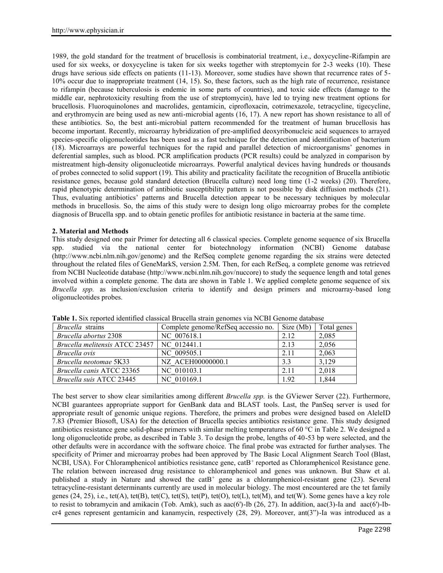1989, the gold standard for the treatment of brucellosis is combinatorial treatment, i.e., doxycycline-Rifampin are used for six weeks, or doxycycline is taken for six weeks together with streptomycin for 2-3 weeks (10). These drugs have serious side effects on patients (11-13). Moreover, some studies have shown that recurrence rates of 5- 10% occur due to inappropriate treatment (14, 15). So, these factors, such as the high rate of recurrence, resistance to rifampin (because tuberculosis is endemic in some parts of countries), and toxic side effects (damage to the middle ear, nephrotoxicity resulting from the use of streptomycin), have led to trying new treatment options for brucellosis. Fluoroquinolones and macrolides, gentamicin, ciprofloxacin, cotrimexazole, tetracycline, tigecycline, and erythromycin are being used as new anti-microbial agents (16, 17). A new report has shown resistance to all of these antibiotics. So, the best anti-microbial pattern recommended for the treatment of human brucellosis has become important. Recently, microarray hybridization of pre-amplified deoxyribonucleic acid sequences to arrayed species-specific oligonucleotides has been used as a fast technique for the detection and identification of bacterium (18). Microarrays are powerful techniques for the rapid and parallel detection of microorganisms' genomes in deferential samples, such as blood. PCR amplification products (PCR results) could be analyzed in comparison by mistreatment high-density oligonucleotide microarrays. Powerful analytical devices having hundreds or thousands of probes connected to solid support (19). This ability and practicality facilitate the recognition of Brucella antibiotic resistance genes, because gold standard detection (Brucella culture) need long time (1-2 weeks) (20). Therefore, rapid phenotypic determination of antibiotic susceptibility pattern is not possible by disk diffusion methods (21). Thus, evaluating antibiotics' patterns and Brucella detection appear to be necessary techniques by molecular methods in brucellosis. So, the aims of this study were to design long oligo microarray probes for the complete diagnosis of Brucella spp. and to obtain genetic profiles for antibiotic resistance in bacteria at the same time.

## **2. Material and Methods**

This study designed one pair Primer for detecting all 6 classical species. Complete genome sequence of six Brucella spp. studied via the national center for biotechnology information (NCBI) Genome database (http://www.ncbi.nlm.nih.gov/genome) and the RefSeq complete genome regarding the six strains were detected throughout the related files of GeneMarkS, version 2.5M. Then, for each RefSeq, a complete genome was retrieved from NCBI Nucleotide database (http://www.ncbi.nlm.nih.gov/nuccore) to study the sequence length and total genes involved within a complete genome. The data are shown in Table 1. We applied complete genome sequence of six *Brucella spp.* as inclusion/exclusion criteria to identify and design primers and microarray-based long oligonucleotides probes.

| Brucella strains                      | Complete genome/RefSeq accessio no. | Size (Mb) | Total genes |
|---------------------------------------|-------------------------------------|-----------|-------------|
| Brucella abortus 2308                 | NC 007618.1                         | 2.12      | 2,085       |
| <i>Brucella melitensis ATCC 23457</i> | NC 012441.1                         | 2.13      | 2,056       |
| Brucella ovis                         | NC 009505.1                         | 2.11      | 2,063       |
| Brucella neotomae 5K33                | NZ ACEH00000000.1                   | 3.3       | 3.129       |
| <i>Brucella canis ATCC 23365</i>      | NC 010103.1                         | 2.11      | 2,018       |
| Brucella suis ATCC 23445              | NC 010169.1                         | 1.92      | 1,844       |

**Table 1.** Six reported identified classical Brucella strain genomes via NCBI Genome database

The best server to show clear similarities among different *Brucella spp.* is the GViewer Server (22). Furthermore, NCBI guarantees appropriate support for GenBank data and BLAST tools. Last, the PanSeq server is used for appropriate result of genomic unique regions. Therefore, the primers and probes were designed based on AleleID 7.83 (Premier Biosoft, USA) for the detection of Brucella species antibiotics resistance gene. This study designed antibiotics resistance gene solid-phase primers with similar melting temperatures of 60  $\degree$ C in Table 2. We designed a long oligonucleotide probe, as described in Table 3. To design the probe, lengths of 40-53 bp were selected, and the other defaults were in accordance with the software choice. The final probe was extracted for further analyses. The specificity of Primer and microarray probes had been approved by The Basic Local Alignment Search Tool (Blast, NCBI, USA). For Chloramphenicol antibiotics resistance gene, catB<sup>+</sup> reported as Chloramphenicol Resistance gene. The relation between increased drug resistance to chloramphenicol and genes was unknown. But Shaw et al. published a study in Nature and showed the  $catB<sup>+</sup>$  gene as a chloramphenicol-resistant gene (23). Several tetracycline-resistant determinants currently are used in molecular biology. The most encountered are the tet family genes  $(24, 25)$ , i.e., tet $(A)$ , tet $(B)$ , tet $(C)$ , tet $(S)$ , tet $(P)$ , tet $(C)$ , tet $(L)$ , tet $(M)$ , and tet $(W)$ . Some genes have a key role to resist to tobramycin and amikacin (Tob. Amk), such as aac(6')-Ib (26, 27). In addition, aac(3)-Ia and aac(6')-Ibcr4 genes represent gentamicin and kanamycin, respectively (28, 29). Moreover, ant(3")-Ia was introduced as a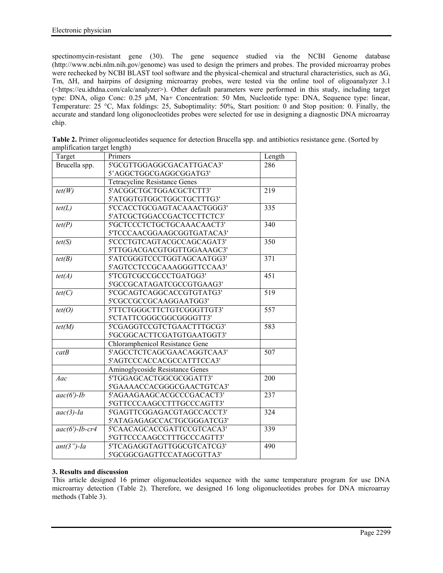spectinomycin-resistant gene (30). The gene sequence studied via the NCBI Genome database (http://www.ncbi.nlm.nih.gov/genome) was used to design the primers and probes. The provided microarray probes were rechecked by NCBI BLAST tool software and the physical-chemical and structural characteristics, such as ΔG, Tm, ΔH, and hairpins of designing microarray probes, were tested via the online tool of oligoanalyzer 3.1 (<https://eu.idtdna.com/calc/analyzer>). Other default parameters were performed in this study, including target type: DNA, oligo Conc: 0.25 μM, Na+ Concentration: 50 Mm, Nucleotide type: DNA, Sequence type: linear, Temperature: 25 °C, Max foldings: 25, Suboptimality: 50%, Start position: 0 and Stop position: 0. Finally, the accurate and standard long oligonocleotides probes were selected for use in designing a diagnostic DNA microarray chip.

| Target            | Primers                              | Length |
|-------------------|--------------------------------------|--------|
| Brucella spp.     | 5'GCGTTGGAGGCGACATTGACA3'            | 286    |
|                   | 5'AGGCTGGCGAGGCGGATG3'               |        |
|                   | <b>Tetracycline Resistance Genes</b> |        |
| tet(W)            | 5'ACGGCTGCTGGACGCTCTT3'              | 219    |
|                   | 5'ATGGTGTGGCTGGCTGCTTTG3'            |        |
| tet(L)            | 5'CCACCTGCGAGTACAAACTGGG3'           | 335    |
|                   | 5'ATCGCTGGACCGACTCCTTCTC3'           |        |
| tet(P)            | 5'GCTCCCTCTGCTGCAAACAACT3'           | 340    |
|                   | 5'TCCCAACGGAAGCGGTGATACA3'           |        |
| tet(S)            | 5'CCCTGTCAGTACGCCAGCAGAT3'           | 350    |
|                   | 5'TTGGACGACGTGGTTGGAAAGC3'           |        |
| tet(B)            | 5'ATCGGGTCCCTGGTAGCAATGG3'           | 371    |
|                   | 5'AGTCCTCCGCAAAGGGTTCCAA3'           |        |
| tet(A)            | 5'TCGTCGCCGCCCTGATGG3'               | 451    |
|                   | 5'GCCGCATAGATCGCCGTGAAG3'            |        |
| tet(C)            | 5'CGCAGTCAGGCACCGTGTATG3'            | 519    |
|                   | 5'CGCCGCCGCAAGGAATGG3'               |        |
| tet(O)            | 5'TTCTGGGCTTCTGTCGGGTTGT3'           | 557    |
|                   | 5'CTATTCGGGCGGCGGGGTT3'              |        |
| tet(M)            | 5'CGAGGTCCGTCTGAACTTTGCG3'           | 583    |
|                   | 5'GCGGCACTTCGATGTGAATGGT3'           |        |
|                   | Chloramphenicol Resistance Gene      |        |
| catB              | 5'AGCCTCTCAGCGAACAGGTCAA3'           | 507    |
|                   | 5'AGTCCCACCACGCCATTTCCA3'            |        |
|                   | Aminoglycoside Resistance Genes      |        |
| Aac               | 5'TGGAGCACTGGCGCGGATT3'              | 200    |
|                   | 5'GAAAACCACGGGCGAACTGTCA3'           |        |
| $aac(6')$ -Ib     | 5'AGAAGAAGCACGCCCGACACT3'            | 237    |
|                   | 5'GTTCCCAAGCCTTTGCCCAGTT3'           |        |
| $aac(3)$ -Ia      | 5'GAGTTCGGAGACGTAGCCACCT3'           | 324    |
|                   | 5'ATAGAGAGCCACTGCGGGATCG3'           |        |
| $aac(6')$ -Ib-cr4 | 5'CAACAGCACCGATTCCGTCACA3'           | 339    |
|                   | 5'GTTCCCAAGCCTTTGCCCAGTT3'           |        |
| $ant(3")$ -Ia     | 5'TCAGAGGTAGTTGGCGTCATCG3'           | 490    |
|                   | 5'GCGGCGAGTTCCATAGCGTTA3'            |        |

| Table 2. Primer oligonucleotides sequence for detection Brucella spp. and antibiotics resistance gene. (Sorted by |  |
|-------------------------------------------------------------------------------------------------------------------|--|
| amplification target length)                                                                                      |  |

# **3. Results and discussion**

This article designed 16 primer oligonucleotides sequence with the same temperature program for use DNA microarray detection (Table 2). Therefore, we designed 16 long oligonucleotides probes for DNA microarray methods (Table 3).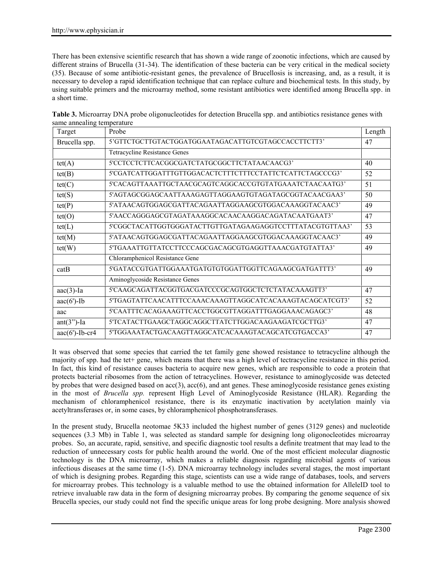There has been extensive scientific research that has shown a wide range of zoonotic infections, which are caused by different strains of Brucella (31-34). The identification of these bacteria can be very critical in the medical society (35). Because of some antibiotic-resistant genes, the prevalence of Brucellosis is increasing, and, as a result, it is necessary to develop a rapid identification technique that can replace culture and biochemical tests. In this study, by using suitable primers and the microarray method, some resistant antibiotics were identified among Brucella spp. in a short time.

| Target                   | Probe                                                     | Length |
|--------------------------|-----------------------------------------------------------|--------|
| Brucella spp.            | 5'GTTCTGCTTGTACTGGATGGAATAGACATTGTCGTAGCCACCTTCTT3'       |        |
|                          | <b>Tetracycline Resistance Genes</b>                      |        |
| tet(A)                   | 5'CCTCCTCTTCACGGCGATCTATGCGGCTTCTATAACAACG3'              | 40     |
| tet(B)                   | 5'CGATCATTGGATTTGTTGGACACTCTTTCTTTCCTATTCTCATTCTAGCCCG3'  | 52     |
| tet(C)                   | 5'CACAGTTAAATTGCTAACGCAGTCAGGCACCGTGTATGAAATCTAACAATG3'   | 51     |
| tet(S)                   | 5'AGTAGCGGAGCAATTAAAGAGTTAGGAAGTGTAGATAGCGGTACAACGAA3'    | 50     |
| tet(P)                   | 5'ATAACAGTGGAGCGATTACAGAATTAGGAAGCGTGGACAAAGGTACAAC3'     | 49     |
| tet(O)                   | 5'AACCAGGGAGCGTAGATAAAGGCACAACAAGGACAGATACAATGAAT3'       | 47     |
| tet(L)                   | 5'CGGCTACATTGGTGGGATACTTGTTGATAGAAGAGGTCCTTTATACGTGTTAA3' | 53     |
| tet(M)                   | 5'ATAACAGTGGAGCGATTACAGAATTAGGAAGCGTGGACAAAGGTACAAC3'     | 49     |
| tet(W)                   | 5'TGAAATTGTTATCCTTCCCAGCGACAGCGTGAGGTTAAACGATGTATTA3'     | 49     |
|                          | Chloramphenicol Resistance Gene                           |        |
| catB                     | 5'GATACCGTGATTGGAAATGATGTGTGGATTGGTTCAGAAGCGATGATTT3'     | 49     |
|                          | Aminoglycoside Resistance Genes                           |        |
| $aac(3)$ -Ia             | 5'CAAGCAGATTACGGTGACGATCCCGCAGTGGCTCTCTATACAAAGTT3'       | 47     |
| $aac(6')$ -Ib            | 5'TGAGTATTCAACATTTCCAAACAAAGTTAGGCATCACAAAGTACAGCATCGT3'  | 52     |
| aac                      | 5'CAATTTCACAGAAAGTTCACCTGGCGTTAGGATTTGAGGAAACAGAGC3'      | 48     |
| $ant(3")$ -Ia            | 5'TCATACTTGAAGCTAGGCAGGCTTATCTTGGACAAGAAGATCGCTTG3'       | 47     |
| $\text{aac}(6')$ -Ib-cr4 | 5'TGGAAATACTGACAAGTTAGGCATCACAAAGTACAGCATCGTGACCA3'       | 47     |

**Table 3.** Microarray DNA probe oligonucleotides for detection Brucella spp. and antibiotics resistance genes with same annealing temperature

It was observed that some species that carried the tet family gene showed resistance to tetracycline although the majority of spp. had the tet+ gene, which means that there was a high level of tectracycline resistance in this period. In fact, this kind of resistance causes bacteria to acquire new genes, which are responsible to code a protein that protects bacterial ribosomes from the action of tetracyclines. However, resistance to aminoglycoside was detected by probes that were designed based on  $acc(3)$ ,  $acc(6)$ , and ant genes. These aminoglycoside resistance genes existing in the most of *Brucella spp.* represent High Level of Aminoglycoside Resistance (HLAR). Regarding the mechanism of chloramphenicol resistance, there is its enzymatic inactivation by acetylation mainly via acetyltransferases or, in some cases, by chloramphenicol phosphotransferases.

In the present study, Brucella neotomae 5K33 included the highest number of genes (3129 genes) and nucleotide sequences (3.3 Mb) in Table 1, was selected as standard sample for designing long oligonocleotides microarray probes. So, an accurate, rapid, sensitive, and specific diagnostic tool results a definite treatment that may lead to the reduction of unnecessary costs for public health around the world. One of the most efficient molecular diagnostic technology is the DNA microarray, which makes a reliable diagnosis regarding microbial agents of various infectious diseases at the same time (1-5). DNA microarray technology includes several stages, the most important of which is designing probes. Regarding this stage, scientists can use a wide range of databases, tools, and servers for microarray probes. This technology is a valuable method to use the obtained information for AlleleID tool to retrieve invaluable raw data in the form of designing microarray probes. By comparing the genome sequence of six Brucella species, our study could not find the specific unique areas for long probe designing. More analysis showed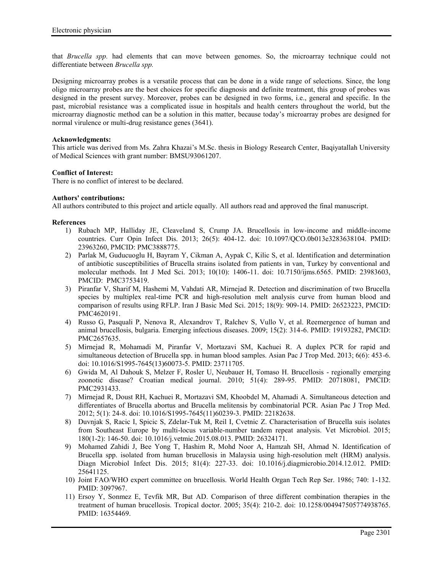that *Brucella spp.* had elements that can move between genomes. So, the microarray technique could not differentiate between *Brucella spp.*

Designing microarray probes is a versatile process that can be done in a wide range of selections. Since, the long oligo microarray probes are the best choices for specific diagnosis and definite treatment, this group of probes was designed in the present survey. Moreover, probes can be designed in two forms, i.e., general and specific. In the past, microbial resistance was a complicated issue in hospitals and health centers throughout the world, but the microarray diagnostic method can be a solution in this matter, because today's microarray probes are designed for normal virulence or multi-drug resistance genes (3641).

### **Acknowledgments:**

This article was derived from Ms. Zahra Khazai's M.Sc. thesis in Biology Research Center, Baqiyatallah University of Medical Sciences with grant number: BMSU93061207.

## **Conflict of Interest:**

There is no conflict of interest to be declared.

### **Authors' contributions:**

All authors contributed to this project and article equally. All authors read and approved the final manuscript.

### **References**

- 1) Rubach MP, Halliday JE, Cleaveland S, Crump JA. Brucellosis in low-income and middle-income countries. Curr Opin Infect Dis. 2013; 26(5): 404-12. doi: 10.1097/QCO.0b013e3283638104. PMID: 23963260, PMCID: PMC3888775.
- 2) Parlak M, Guducuoglu H, Bayram Y, Cikman A, Aypak C, Kilic S, et al. Identification and determination of antibiotic susceptibilities of Brucella strains isolated from patients in van, Turkey by conventional and molecular methods. Int J Med Sci. 2013; 10(10): 1406-11. doi: 10.7150/ijms.6565. PMID: 23983603, PMCID: PMC3753419.
- 3) Piranfar V, Sharif M, Hashemi M, Vahdati AR, Mirnejad R. Detection and discrimination of two Brucella species by multiplex real-time PCR and high-resolution melt analysis curve from human blood and comparison of results using RFLP. Iran J Basic Med Sci. 2015; 18(9): 909-14. PMID: 26523223, PMCID: PMC4620191.
- 4) Russo G, Pasquali P, Nenova R, Alexandrov T, Ralchev S, Vullo V, et al. Reemergence of human and animal brucellosis, bulgaria. Emerging infectious diseases. 2009; 15(2): 314-6. PMID: 19193282, PMCID: PMC2657635.
- 5) Mirnejad R, Mohamadi M, Piranfar V, Mortazavi SM, Kachuei R. A duplex PCR for rapid and simultaneous detection of Brucella spp. in human blood samples. Asian Pac J Trop Med. 2013; 6(6): 453-6. doi: 10.1016/S1995-7645(13)60073-5. PMID: 23711705.
- 6) Gwida M, Al Dahouk S, Melzer F, Rosler U, Neubauer H, Tomaso H. Brucellosis regionally emerging zoonotic disease? Croatian medical journal. 2010; 51(4): 289-95. PMID: 20718081, PMCID: PMC2931433.
- 7) Mirnejad R, Doust RH, Kachuei R, Mortazavi SM, Khoobdel M, Ahamadi A. Simultaneous detection and differentiates of Brucella abortus and Brucella melitensis by combinatorial PCR. Asian Pac J Trop Med. 2012; 5(1): 24-8. doi: 10.1016/S1995-7645(11)60239-3. PMID: 22182638.
- 8) Duvnjak S, Racic I, Spicic S, Zdelar-Tuk M, Reil I, Cvetnic Z. Characterisation of Brucella suis isolates from Southeast Europe by multi-locus variable-number tandem repeat analysis. Vet Microbiol. 2015; 180(1-2): 146-50. doi: 10.1016/j.vetmic.2015.08.013. PMID: 26324171.
- 9) Mohamed Zahidi J, Bee Yong T, Hashim R, Mohd Noor A, Hamzah SH, Ahmad N. Identification of Brucella spp. isolated from human brucellosis in Malaysia using high-resolution melt (HRM) analysis. Diagn Microbiol Infect Dis. 2015; 81(4): 227-33. doi: 10.1016/j.diagmicrobio.2014.12.012. PMID: 25641125.
- 10) Joint FAO/WHO expert committee on brucellosis. World Health Organ Tech Rep Ser. 1986; 740: 1-132. PMID: 3097967.
- 11) Ersoy Y, Sonmez E, Tevfik MR, But AD. Comparison of three different combination therapies in the treatment of human brucellosis. Tropical doctor. 2005; 35(4): 210-2. doi: 10.1258/004947505774938765. PMID: 16354469.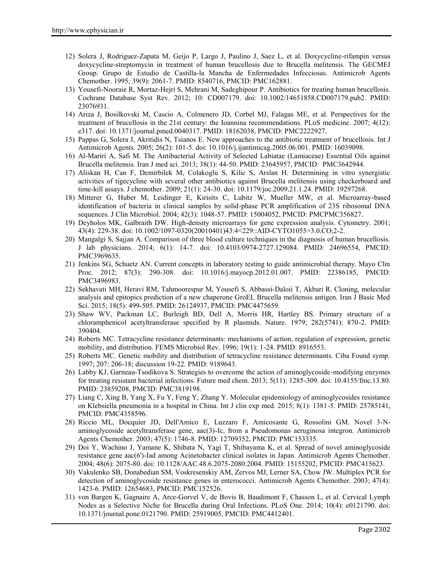- 12) Solera J, Rodriguez-Zapata M, Geijo P, Largo J, Paulino J, Saez L, et al. Doxycycline-rifampin versus doxycycline-streptomycin in treatment of human brucellosis due to Brucella melitensis. The GECMEI Group. Grupo de Estudio de Castilla-la Mancha de Enfermedades Infecciosas. Antimicrob Agents Chemother. 1995; 39(9): 2061-7. PMID: 8540716, PMCID: PMC162881.
- 13) Yousefi-Nooraie R, Mortaz-Hejri S, Mehrani M, Sadeghipour P. Antibiotics for treating human brucellosis. Cochrane Database Syst Rev. 2012; 10: CD007179. doi: 10.1002/14651858.CD007179.pub2. PMID: 23076931.
- 14) Ariza J, Bosilkovski M, Cascio A, Colmenero JD, Corbel MJ, Falagas ME, et al. Perspectives for the treatment of brucellosis in the 21st century: the Ioannina recommendations. PLoS medicine. 2007; 4(12): e317. doi: 10.1371/journal.pmed.0040317. PMID: 18162038, PMCID: PMC2222927.
- 15) Pappas G, Solera J, Akritidis N, Tsianos E. New approaches to the antibiotic treatment of brucellosis. Int J Antimicrob Agents. 2005; 26(2): 101-5. doi: 10.1016/j.ijantimicag.2005.06.001. PMID: 16039098.
- 16) Al-Mariri A, Safi M. The Antibacterial Activity of Selected Labiatae (Lamiaceae) Essential Oils against Brucella melitensis. Iran J med sci. 2013; 38(1): 44-50. PMID: 23645957, PMCID: PMC3642944.
- 17) Aliskan H, Can F, Demirbilek M, Colakoglu S, Kilic S, Arslan H. Determining in vitro synergistic activities of tigecycline with several other antibiotics against Brucella melitensis using checkerboard and time-kill assays. J chemother. 2009; 21(1): 24-30. doi: 10.1179/joc.2009.21.1.24. PMID: 19297268.
- 18) Mitterer G, Huber M, Leidinger E, Kirisits C, Lubitz W, Mueller MW, et al. Microarray-based identification of bacteria in clinical samples by solid-phase PCR amplification of 23S ribosomal DNA sequences. J Clin Microbiol. 2004; 42(3): 1048-57. PMID: 15004052, PMCID: PMCPMC356827.
- 19) Deyholos MK, Galbraith DW. High-density microarrays for gene expression analysis. Cytometry. 2001; 43(4): 229-38. doi: 10.1002/1097-0320(20010401)43:4<229::AID-CYTO1055>3.0.CO;2-2.
- 20) Mangalgi S, Sajjan A. Comparison of three blood culture techniques in the diagnosis of human brucellosis. J lab physicians. 2014; 6(1): 14-7. doi: 10.4103/0974-2727.129084. PMID: 24696554, PMCID: PMC3969635.
- 21) Jenkins SG, Schuetz AN. Current concepts in laboratory testing to guide antimicrobial therapy. Mayo Clin Proc. 2012; 87(3): 290-308. doi: 10.1016/j.mayocp.2012.01.007. PMID: 22386185, PMCID: PMC3496983.
- 22) Sekhavati MH, Heravi RM, Tahmoorespur M, Yousefi S, Abbassi-Daloii T, Akbari R. Cloning, molecular analysis and epitopics prediction of a new chaperone GroEL Brucella melitensis antigen. Iran J Basic Med Sci. 2015; 18(5): 499-505. PMID: 26124937, PMCID: PMC4475659.
- 23) Shaw WV, Packman LC, Burleigh BD, Dell A, Morris HR, Hartley BS. Primary structure of a chloramphenicol acetyltransferase specified by R plasmids. Nature. 1979; 282(5741): 870-2. PMID: 390404.
- 24) Roberts MC. Tetracycline resistance determinants: mechanisms of action, regulation of expression, genetic mobility, and distribution. FEMS Microbiol Rev. 1996; 19(1): 1-24. PMID: 8916553.
- 25) Roberts MC. Genetic mobility and distribution of tetracycline resistance determinants. Ciba Found symp. 1997; 207: 206-18; discussion 19-22. PMID: 9189643.
- 26) Labby KJ, Garneau-Tsodikova S. Strategies to overcome the action of aminoglycoside-modifying enzymes for treating resistant bacterial infections. Future med chem. 2013; 5(11): 1285-309. doi: 10.4155/fmc.13.80. PMID: 23859208, PMCID: PMC3819198.
- 27) Liang C, Xing B, Yang X, Fu Y, Feng Y, Zhang Y. Molecular epidemiology of aminoglycosides resistance on Klebsiella pneumonia in a hospital in China. Int J clin exp med. 2015; 8(1): 1381-5. PMID: 25785141, PMCID: PMC4358596.
- 28) Riccio ML, Docquier JD, Dell'Amico E, Luzzaro F, Amicosante G, Rossolini GM. Novel 3-N aminoglycoside acetyltransferase gene, aac(3)-Ic, from a Pseudomonas aeruginosa integron. Antimicrob Agents Chemother. 2003; 47(5): 1746-8. PMID: 12709352, PMCID: PMC153335.
- 29) Doi Y, Wachino J, Yamane K, Shibata N, Yagi T, Shibayama K, et al. Spread of novel aminoglycoside resistance gene aac(6')-Iad among Acinetobacter clinical isolates in Japan. Antimicrob Agents Chemother. 2004; 48(6): 2075-80. doi: 10.1128/AAC.48.6.2075-2080.2004. PMID: 15155202, PMCID: PMC415623.
- 30) Vakulenko SB, Donabedian SM, Voskresenskiy AM, Zervos MJ, Lerner SA, Chow JW. Multiplex PCR for detection of aminoglycoside resistance genes in enterococci. Antimicrob Agents Chemother. 2003; 47(4): 1423-6. PMID: 12654683, PMCID: PMC152526.
- 31) von Bargen K, Gagnaire A, Arce-Gorvel V, de Bovis B, Baudimont F, Chasson L, et al. Cervical Lymph Nodes as a Selective Niche for Brucella during Oral Infections. PLoS One. 2014; 10(4): e0121790. doi: 10.1371/journal.pone.0121790. PMID: 25919005, PMCID: PMC4412401.